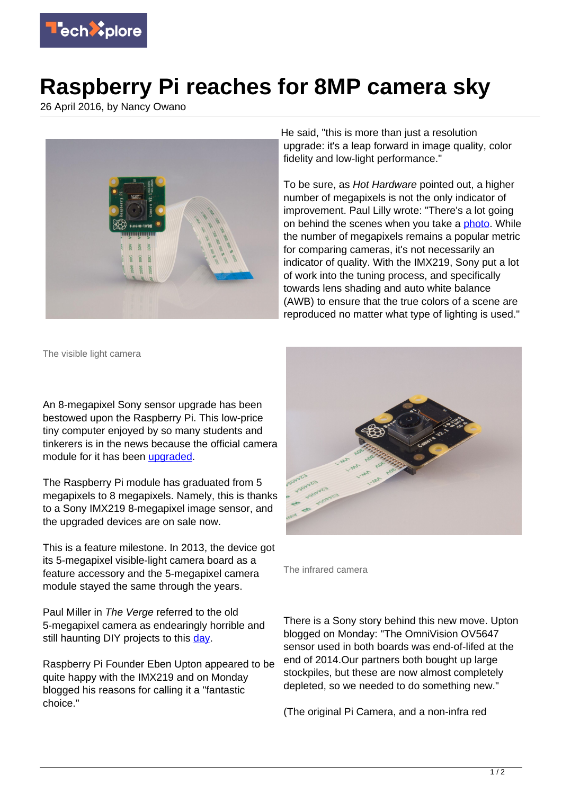

## **Raspberry Pi reaches for 8MP camera sky**

26 April 2016, by Nancy Owano



He said, "this is more than just a resolution upgrade: it's a leap forward in image quality, color fidelity and low-light performance."

To be sure, as Hot Hardware pointed out, a higher number of megapixels is not the only indicator of improvement. Paul Lilly wrote: "There's a lot going on behind the scenes when you take a **photo**. While the number of megapixels remains a popular metric for comparing cameras, it's not necessarily an indicator of quality. With the IMX219, Sony put a lot of work into the tuning process, and specifically towards lens shading and auto white balance (AWB) to ensure that the true colors of a scene are reproduced no matter what type of lighting is used."

The visible light camera

An 8-megapixel Sony sensor upgrade has been bestowed upon the Raspberry Pi. This low-price tiny computer enjoyed by so many students and tinkerers is in the news because the official camera module for it has been [upgraded.](https://www.raspberrypi.org/blog/new-8-megapixel-camera-board-sale-25/)

The Raspberry Pi module has graduated from 5 megapixels to 8 megapixels. Namely, this is thanks to a Sony IMX219 8-megapixel image sensor, and the upgraded devices are on sale now.

This is a feature milestone. In 2013, the device got its 5-megapixel visible-light camera board as a feature accessory and the 5-megapixel camera module stayed the same through the years.

Paul Miller in The Verge referred to the old 5-megapixel camera as endearingly horrible and still haunting DIY projects to this [day.](http://www.theverge.com/2016/4/25/11501596/raspberry-pis-new-camera-board-has-an-8-megapixel-sensor-from-2014)

Raspberry Pi Founder Eben Upton appeared to be quite happy with the IMX219 and on Monday blogged his reasons for calling it a "fantastic choice."



The infrared camera

There is a Sony story behind this new move. Upton blogged on Monday: "The OmniVision OV5647 sensor used in both boards was end-of-lifed at the end of 2014.Our partners both bought up large stockpiles, but these are now almost completely depleted, so we needed to do something new."

(The original Pi Camera, and a non-infra red